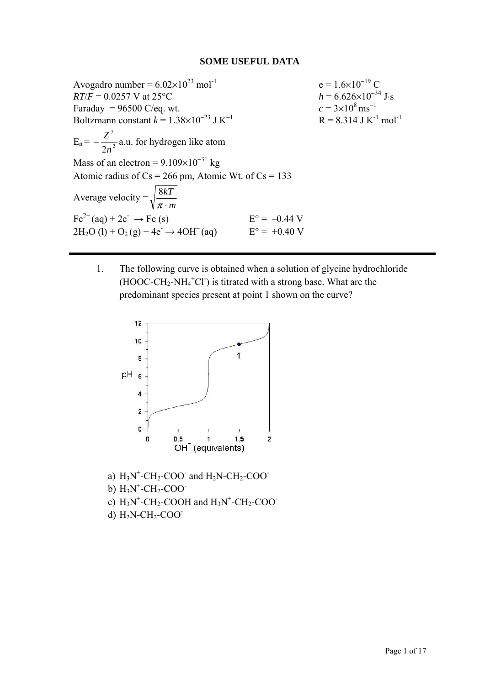## **SOME USEFUL DATA**

Avogadro number =  $6.02 \times 10^{23}$  mol<sup>-1</sup> e =  $1.6 \times 10^{-19}$  C<br>  $R T/F = 0.0257$  V at  $25^{\circ}$ C  $h = 6.626 \times 10^{-34}$  J·s  $RT/F = 0.0257 \text{ V at } 25^{\circ}\text{C}$ <br>Faradav = 96500 C/eq. wt.  $h = 6.626 \times 10^{-34}$ <br> $c = 3 \times 10^{8} \text{ ms}^{-1}$ Faraday =  $96500$  C/eq. wt. Boltzmann constant  $k = 1.38 \times 10^{-23}$  J K<sup>-1</sup>  $R = 8.314$  J K<sup>-1</sup> mol<sup>-1</sup>  $E_n = -\frac{2}{2n^2}$ 2 2*n*  $-\frac{Z^2}{2}$  a.u. for hydrogen like atom Mass of an electron =  $9.109 \times 10^{-31}$  kg Atomic radius of  $Cs = 266$  pm, Atomic Wt. of  $Cs = 133$ Average velocity = *m kT*  $\pi$ . 8  $Fe^{2+}$ (aq) + 2e<sup>-</sup>  $\rightarrow$  Fe (s)  $E^{\circ} = -0.44$  V  $2H_2O (l) + O_2 (g) + 4e^- \rightarrow 4OH^- (aq)$   $E^{\circ} = +0.40 V$ 

1. The following curve is obtained when a solution of glycine hydrochloride  $(HOOC-CH<sub>2</sub>-NH<sub>4</sub><sup>+</sup>Cl<sup>-</sup>)$  is titrated with a strong base. What are the predominant species present at point 1 shown on the curve?



- b)  $H_3N^+$ -CH<sub>2</sub>-COO<sup>-</sup>
- c)  $H_3N^+$ -CH<sub>2</sub>-COOH and  $H_3N^+$ -CH<sub>2</sub>-COO<sup>-</sup>
- d)  $H_2N-CH_2-COO^-$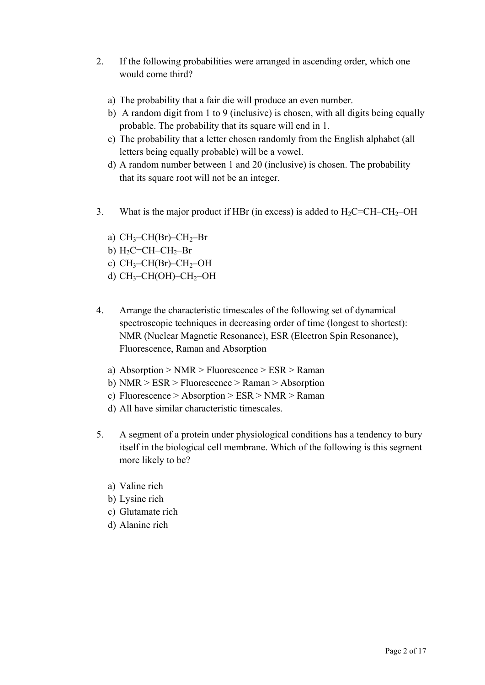- 2. If the following probabilities were arranged in ascending order, which one would come third?
	- a) The probability that a fair die will produce an even number.
	- b) A random digit from 1 to 9 (inclusive) is chosen, with all digits being equally probable. The probability that its square will end in 1.
	- c) The probability that a letter chosen randomly from the English alphabet (all letters being equally probable) will be a vowel.
	- d) A random number between 1 and 20 (inclusive) is chosen. The probability that its square root will not be an integer.
- 3. What is the major product if HBr (in excess) is added to  $H_2C=CH-CH_2-OH$ 
	- a)  $CH_3$ -CH(Br)-CH<sub>2</sub>-Br
	- b)  $H_2C=CH-CH_2-Br$
	- c)  $CH_3$ -CH(Br)-CH<sub>2</sub>-OH
	- d)  $CH_3$ -CH(OH)-CH<sub>2</sub>-OH
- 4. Arrange the characteristic timescales of the following set of dynamical spectroscopic techniques in decreasing order of time (longest to shortest): NMR (Nuclear Magnetic Resonance), ESR (Electron Spin Resonance), Fluorescence, Raman and Absorption
	- a) Absorption > NMR > Fluorescence > ESR > Raman
	- b) NMR > ESR > Fluorescence > Raman > Absorption
	- c) Fluorescence > Absorption > ESR > NMR > Raman
	- d) All have similar characteristic timescales.
- 5. A segment of a protein under physiological conditions has a tendency to bury itself in the biological cell membrane. Which of the following is this segment more likely to be?
	- a) Valine rich
	- b) Lysine rich
	- c) Glutamate rich
	- d) Alanine rich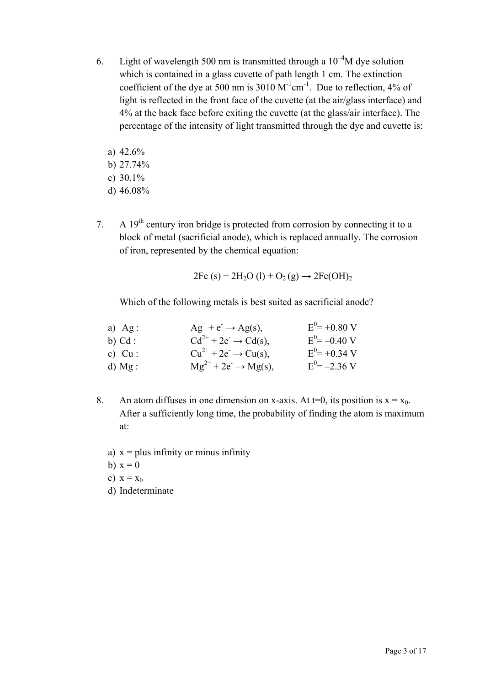- 6. Light of wavelength 500 nm is transmitted through a  $10^{-4}$ M dye solution which is contained in a glass cuvette of path length 1 cm. The extinction coefficient of the dye at 500 nm is 3010  $M^{-1}cm^{-1}$ . Due to reflection, 4% of light is reflected in the front face of the cuvette (at the air/glass interface) and 4% at the back face before exiting the cuvette (at the glass/air interface). The percentage of the intensity of light transmitted through the dye and cuvette is:
	- a) 42.6%
	- b) 27.74%
	- c) 30.1%
	- d) 46.08%
- 7. A  $19<sup>th</sup>$  century iron bridge is protected from corrosion by connecting it to a block of metal (sacrificial anode), which is replaced annually. The corrosion of iron, represented by the chemical equation:

$$
2Fe (s) + 2H2O (l) + O2 (g) \rightarrow 2Fe(OH)2
$$

Which of the following metals is best suited as sacrificial anode?

| a) $Ag:$  | $Ag^+ + e^- \rightarrow Ag(s)$ ,     | $E^0 = +0.80$ V   |
|-----------|--------------------------------------|-------------------|
| b) $Cd:$  | $Cd^{2+} + 2e^- \rightarrow Cd(s)$ , | $E^{0} = -0.40$ V |
| c) $Cu$ : | $Cu^{2+} + 2e^- \rightarrow Cu(s)$ , | $E^{0} = +0.34$ V |
| d) $Mg$ : | $Mg^{2+} + 2e^- \rightarrow Mg(s)$ , | $E^{0} = -2.36$ V |

- 8. An atom diffuses in one dimension on x-axis. At t=0, its position is  $x = x_0$ . After a sufficiently long time, the probability of finding the atom is maximum at:
	- a)  $x = plus$  infinity or minus infinity
	- b)  $x = 0$
	- c)  $x = x_0$
	- d) Indeterminate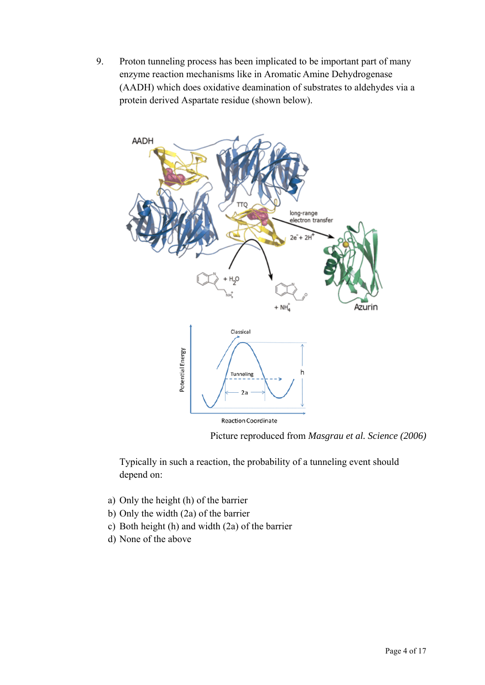9. Proton tunneling process has been implicated to be important part of many enzyme reaction mechanisms like in Aromatic Amine Dehydrogenase (AADH) which does oxidative deamination of substrates to aldehydes via a protein derived Aspartate residue (shown below).



Picture reproduced from *Masgrau et al. Science (2006)* 

Typically in such a reaction, the probability of a tunneling event should depend on:

- a) Only the height (h) of the barrier
- b) Only the width (2a) of the barrier
- c) Both height (h) and width (2a) of the barrier
- d) None of the above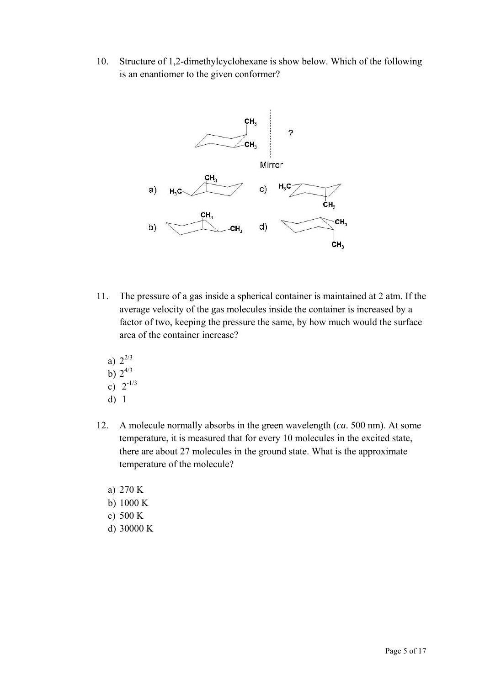10. Structure of 1,2-dimethylcyclohexane is show below. Which of the following is an enantiomer to the given conformer?



- 11. The pressure of a gas inside a spherical container is maintained at 2 atm. If the average velocity of the gas molecules inside the container is increased by a factor of two, keeping the pressure the same, by how much would the surface area of the container increase?
	- a)  $2^{2/3}$
	- b)  $2^{4/3}$
	- c)  $2^{-1/3}$
	- d) 1
- 12. A molecule normally absorbs in the green wavelength (*ca*. 500 nm). At some temperature, it is measured that for every 10 molecules in the excited state, there are about 27 molecules in the ground state. What is the approximate temperature of the molecule?
	- a) 270 K
	- b) 1000 K
	- c) 500 K
	- d) 30000 K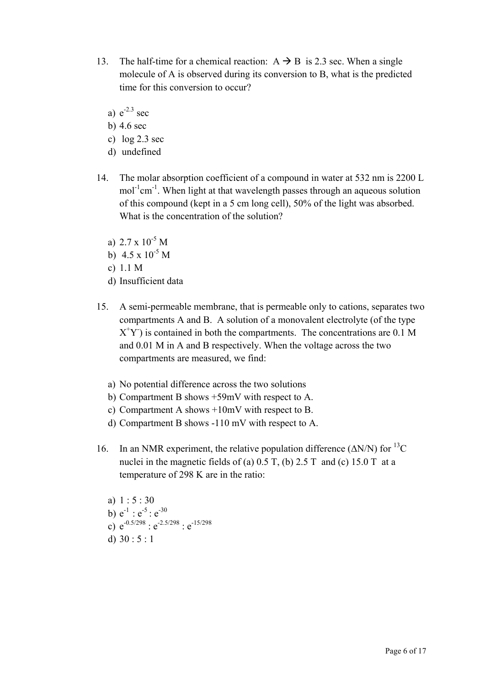- 13. The half-time for a chemical reaction:  $A \rightarrow B$  is 2.3 sec. When a single molecule of A is observed during its conversion to B, what is the predicted time for this conversion to occur?
	- a)  $e^{-2.3}$  sec
	- b) 4.6 sec
	- c) log 2.3 sec
	- d) undefined
- 14. The molar absorption coefficient of a compound in water at 532 nm is 2200 L mol<sup>-1</sup>cm<sup>-1</sup>. When light at that wavelength passes through an aqueous solution of this compound (kept in a 5 cm long cell), 50% of the light was absorbed. What is the concentration of the solution?
	- a)  $2.7 \times 10^{-5}$  M
	- b)  $4.5 \times 10^{-5}$  M
	- c) 1.1 M
	- d) Insufficient data
- 15. A semi-permeable membrane, that is permeable only to cations, separates two compartments A and B. A solution of a monovalent electrolyte (of the type  $X<sup>+</sup>Y$ ) is contained in both the compartments. The concentrations are 0.1 M and 0.01 M in A and B respectively. When the voltage across the two compartments are measured, we find:
	- a) No potential difference across the two solutions
	- b) Compartment B shows +59mV with respect to A.
	- c) Compartment A shows +10mV with respect to B.
	- d) Compartment B shows -110 mV with respect to A.
- 16. In an NMR experiment, the relative population difference ( $\Delta N/N$ ) for <sup>13</sup>C nuclei in the magnetic fields of (a)  $0.5$  T, (b)  $2.5$  T and (c)  $15.0$  T at a temperature of 298 K are in the ratio:
	- a) 1 : 5 : 30 b)  $e^{-1}$  :  $e^{-5}$  :  $e^{-30}$ c)  $e^{-0.5/298}$  :  $e^{-2.5/298}$  :  $e^{-15/298}$ d)  $30 : 5 : 1$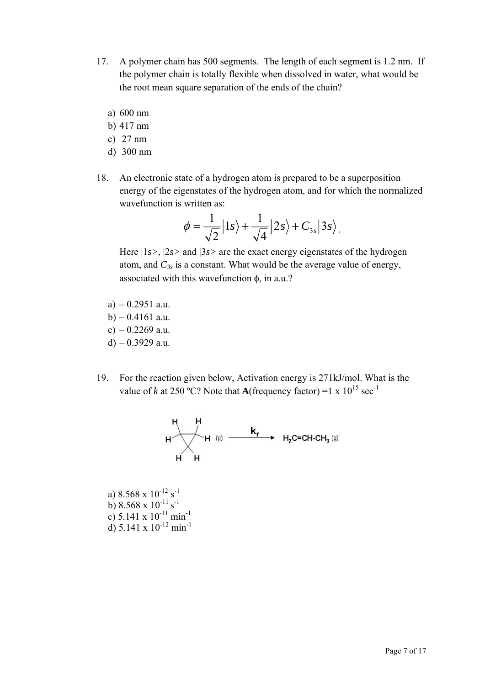- 17. A polymer chain has 500 segments. The length of each segment is 1.2 nm. If the polymer chain is totally flexible when dissolved in water, what would be the root mean square separation of the ends of the chain?
	- a) 600 nm
	- b) 417 nm
	- c) 27 nm
	- d) 300 nm
- 18. An electronic state of a hydrogen atom is prepared to be a superposition energy of the eigenstates of the hydrogen atom, and for which the normalized wavefunction is written as:

$$
\phi = \frac{1}{\sqrt{2}} |1s\rangle + \frac{1}{\sqrt{4}} |2s\rangle + C_{3s} |3s\rangle.
$$

Here |1*s>*, |2*s>* and |3*s>* are the exact energy eigenstates of the hydrogen atom, and  $C_{3s}$  is a constant. What would be the average value of energy, associated with this wavefunction φ, in a.u.?

- $a) 0.2951 a.u.$
- $b) 0.4161$  a.u.
- c)  $-0.2269$  a.u.
- d)  $-0.3929$  a.u.
- 19. For the reaction given below, Activation energy is 271kJ/mol. What is the value of *k* at 250 °C? Note that **A**(frequency factor) =1 x  $10^{15}$  sec<sup>-1</sup>



a)  $8.568 \times 10^{-12} \text{ s}^{-1}$ b)  $8.568 \times 10^{-11} \text{ s}^{-1}$ c) 5.141 x  $10^{-11}$  min<sup>-1</sup> d) 5.141 x  $10^{-12}$  min<sup>-1</sup>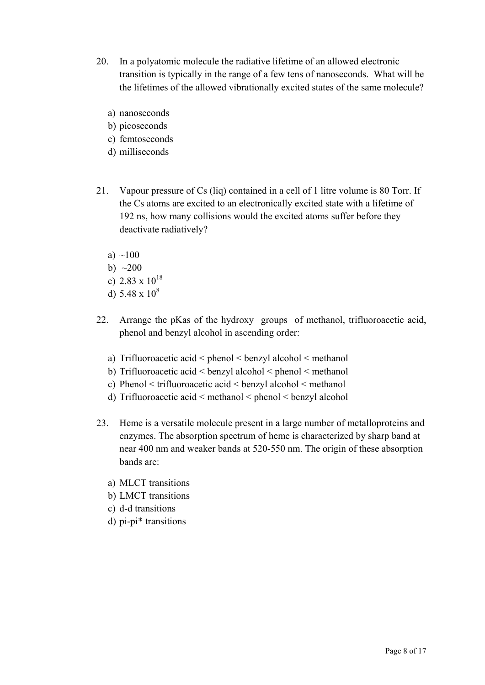- 20. In a polyatomic molecule the radiative lifetime of an allowed electronic transition is typically in the range of a few tens of nanoseconds. What will be the lifetimes of the allowed vibrationally excited states of the same molecule?
	- a) nanoseconds
	- b) picoseconds
	- c) femtoseconds
	- d) milliseconds
- 21. Vapour pressure of Cs (liq) contained in a cell of 1 litre volume is 80 Torr. If the Cs atoms are excited to an electronically excited state with a lifetime of 192 ns, how many collisions would the excited atoms suffer before they deactivate radiatively?
	- a)  $~100$
	- b)  $\sim$ 200
	- c)  $2.83 \times 10^{18}$
	- d)  $5.48 \times 10^8$
- 22. Arrange the pKas of the hydroxy groups of methanol, trifluoroacetic acid, phenol and benzyl alcohol in ascending order:
	- a) Trifluoroacetic acid < phenol < benzyl alcohol < methanol
	- b) Trifluoroacetic acid < benzyl alcohol < phenol < methanol
	- c) Phenol < trifluoroacetic acid < benzyl alcohol < methanol
	- d) Trifluoroacetic acid  $\leq$  methanol  $\leq$  phenol  $\leq$  benzyl alcohol
- 23. Heme is a versatile molecule present in a large number of metalloproteins and enzymes. The absorption spectrum of heme is characterized by sharp band at near 400 nm and weaker bands at 520-550 nm. The origin of these absorption bands are:
	- a) MLCT transitions
	- b) LMCT transitions
	- c) d-d transitions
	- d) pi-pi\* transitions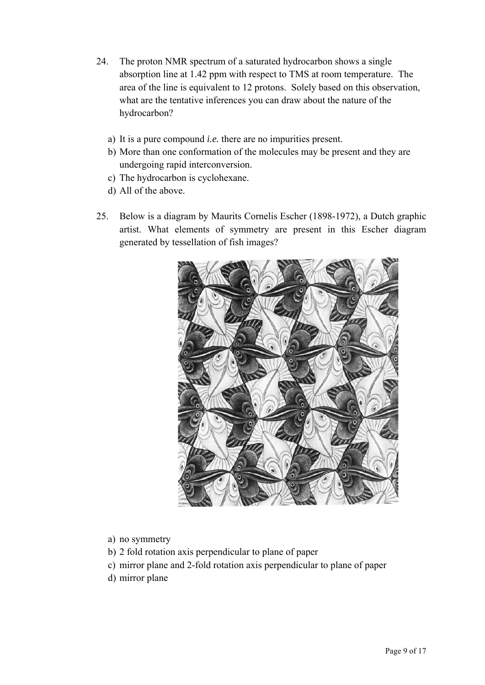- 24. The proton NMR spectrum of a saturated hydrocarbon shows a single absorption line at 1.42 ppm with respect to TMS at room temperature. The area of the line is equivalent to 12 protons. Solely based on this observation, what are the tentative inferences you can draw about the nature of the hydrocarbon?
	- a) It is a pure compound *i.e.* there are no impurities present.
	- b) More than one conformation of the molecules may be present and they are undergoing rapid interconversion.
	- c) The hydrocarbon is cyclohexane.
	- d) All of the above.
- 25. Below is a diagram by Maurits Cornelis Escher (1898-1972), a Dutch graphic artist. What elements of symmetry are present in this Escher diagram generated by tessellation of fish images?



- a) no symmetry
- b) 2 fold rotation axis perpendicular to plane of paper
- c) mirror plane and 2-fold rotation axis perpendicular to plane of paper
- d) mirror plane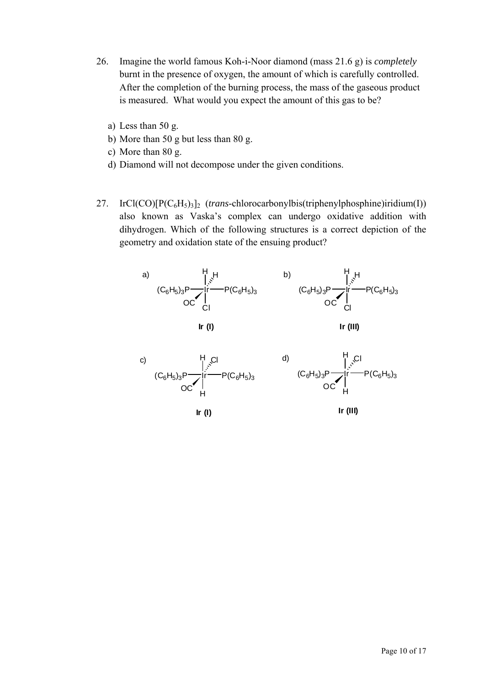- 26. Imagine the world famous Koh-i-Noor diamond (mass 21.6 g) is *completely* burnt in the presence of oxygen, the amount of which is carefully controlled. After the completion of the burning process, the mass of the gaseous product is measured. What would you expect the amount of this gas to be?
	- a) Less than 50 g.
	- b) More than 50 g but less than 80 g.
	- c) More than 80 g.
	- d) Diamond will not decompose under the given conditions.
- 27. IrCl(CO)[P(C6H5)3]2 (*trans*-chlorocarbonylbis(triphenylphosphine)iridium(I)) also known as Vaska's complex can undergo oxidative addition with dihydrogen. Which of the following structures is a correct depiction of the geometry and oxidation state of the ensuing product?

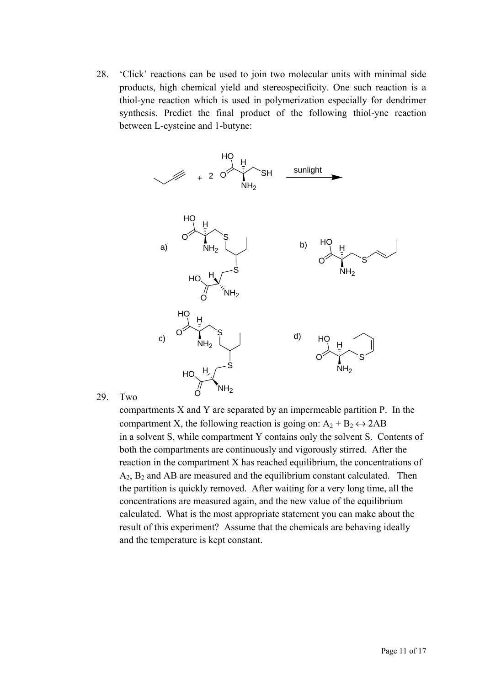28. 'Click' reactions can be used to join two molecular units with minimal side products, high chemical yield and stereospecificity. One such reaction is a thiol-yne reaction which is used in polymerization especially for dendrimer synthesis. Predict the final product of the following thiol-yne reaction between L-cysteine and 1-butyne:



29. Two

compartments X and Y are separated by an impermeable partition P. In the compartment X, the following reaction is going on:  $A_2 + B_2 \leftrightarrow 2AB$ in a solvent S, while compartment Y contains only the solvent S. Contents of both the compartments are continuously and vigorously stirred. After the reaction in the compartment X has reached equilibrium, the concentrations of  $A_2$ ,  $B_2$  and AB are measured and the equilibrium constant calculated. Then the partition is quickly removed. After waiting for a very long time, all the concentrations are measured again, and the new value of the equilibrium calculated. What is the most appropriate statement you can make about the result of this experiment? Assume that the chemicals are behaving ideally and the temperature is kept constant.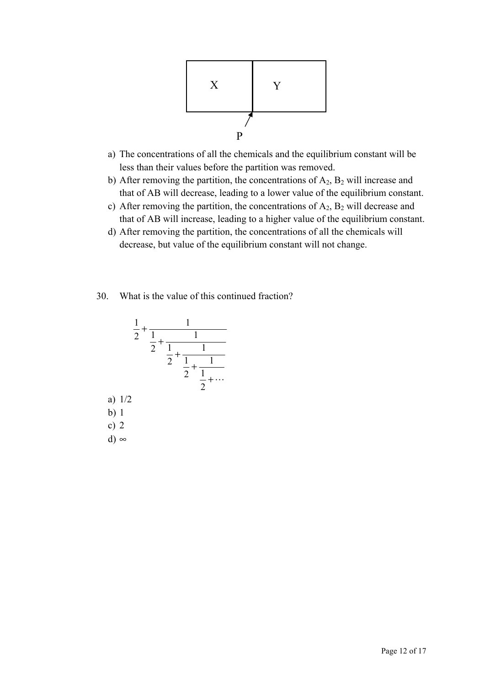

- a) The concentrations of all the chemicals and the equilibrium constant will be less than their values before the partition was removed.
- b) After removing the partition, the concentrations of  $A_2$ ,  $B_2$  will increase and that of AB will decrease, leading to a lower value of the equilibrium constant.
- c) After removing the partition, the concentrations of  $A_2$ ,  $B_2$  will decrease and that of AB will increase, leading to a higher value of the equilibrium constant.
- d) After removing the partition, the concentrations of all the chemicals will decrease, but value of the equilibrium constant will not change.
- 30. What is the value of this continued fraction?

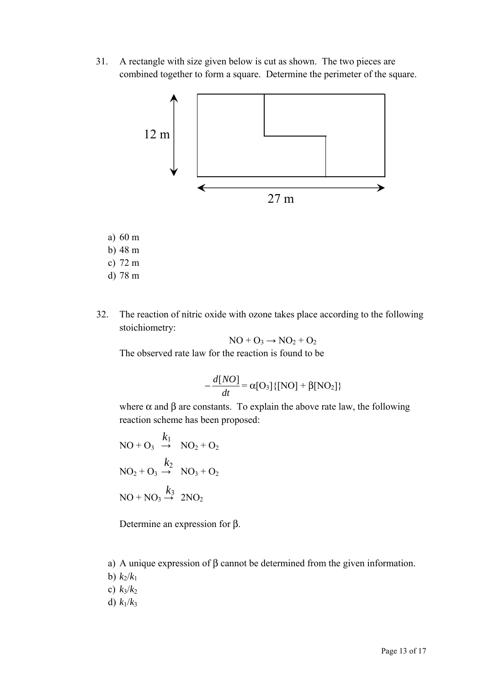31. A rectangle with size given below is cut as shown. The two pieces are combined together to form a square. Determine the perimeter of the square.



- a) 60 m
- b) 48 m
- c) 72 m
- d) 78 m
- 32. The reaction of nitric oxide with ozone takes place according to the following stoichiometry:

$$
NO + O_3 \rightarrow NO_2 + O_2
$$

The observed rate law for the reaction is found to be

$$
-\frac{d[NO]}{dt} = \alpha[O_3]{\{[NO] + \beta[NO_2]\}}
$$

where  $\alpha$  and  $\beta$  are constants. To explain the above rate law, the following reaction scheme has been proposed:

$$
NO + O_3 \xrightarrow{k_1} NO_2 + O_2
$$
  

$$
NO_2 + O_3 \xrightarrow{k_2} NO_3 + O_2
$$
  

$$
NO + NO_3 \xrightarrow{k_3} 2NO_2
$$

Determine an expression for β.

a) A unique expression of β cannot be determined from the given information.

**b**)  $k_2/k_1$ 

c)  $k_3/k_2$ 

d)  $k_1/k_3$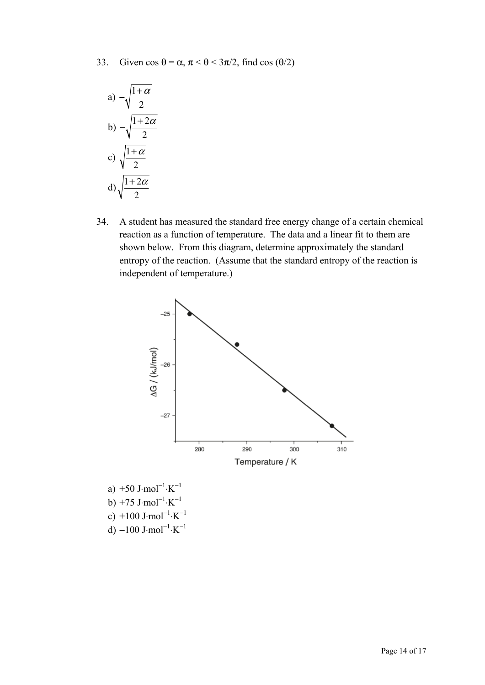33. Given  $\cos \theta = \alpha$ ,  $\pi < \theta < 3\pi/2$ , find  $\cos (\theta/2)$ 

a) 
$$
-\sqrt{\frac{1+\alpha}{2}}
$$
  
\nb)  $-\sqrt{\frac{1+2\alpha}{2}}$   
\nc)  $\sqrt{\frac{1+\alpha}{2}}$   
\nd)  $\sqrt{\frac{1+2\alpha}{2}}$ 

34. A student has measured the standard free energy change of a certain chemical reaction as a function of temperature. The data and a linear fit to them are shown below. From this diagram, determine approximately the standard entropy of the reaction. (Assume that the standard entropy of the reaction is independent of temperature.)



a) +50 J⋅mol<sup>-1</sup>⋅K<sup>-1</sup> b) +75 J⋅mol<sup>-1</sup>⋅K<sup>-1</sup> c) +100 J⋅mol<sup>-1</sup>⋅K<sup>-1</sup> d)  $-100$  J⋅mol<sup>-1</sup>⋅K<sup>-1</sup>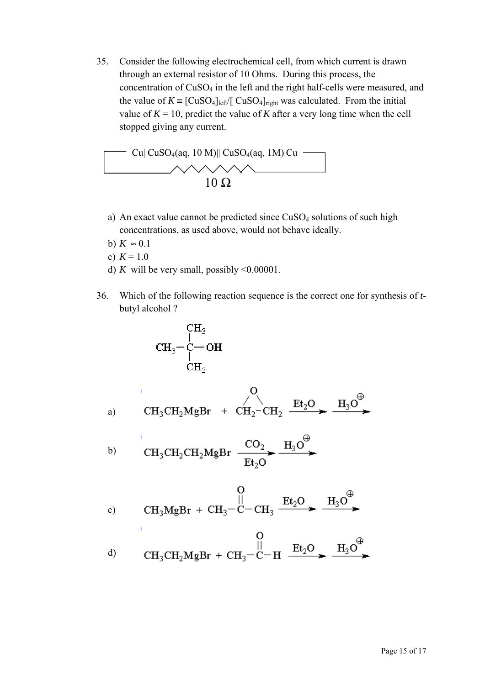35. Consider the following electrochemical cell, from which current is drawn through an external resistor of 10 Ohms. During this process, the concentration of CuSO4 in the left and the right half-cells were measured, and the value of  $K = [\text{CuSO}_4]_{\text{left}}$  CuSO<sub>4</sub>]<sub>right</sub> was calculated. From the initial value of  $K = 10$ , predict the value of *K* after a very long time when the cell stopped giving any current.



- a) An exact value cannot be predicted since CuSO<sub>4</sub> solutions of such high concentrations, as used above, would not behave ideally.
- b)  $K \approx 0.1$
- c)  $K = 1.0$

 $\mathbf{I}$ 

- d) *K* will be very small, possibly  $\leq 0.00001$ .
- 36. Which of the following reaction sequence is the correct one for synthesis of *t*butyl alcohol ?

 $\sim$ 

$$
\begin{array}{c}\n\text{CH}_3 \\
\text{CH}_3-\text{C}-\text{OH} \\
\text{CH}_3 \\
\text{CH}_3\n\end{array}
$$

a) 
$$
CH_3CH_2MgBr + CH_2-CH_2 \xrightarrow{Et_2O} \xrightarrow{H_3O^{\oplus}}
$$

$$
\text{H}_{3} \text{CH}_{2} \text{CH}_{2} \text{MgBr} \xrightarrow{\text{CO}_{2}} \text{H}_{3} \text{O}^{\text{H}}.
$$

c) 
$$
CH_3MgBr + CH_3-C-CH_3 \xrightarrow{Et_2O} \xrightarrow{H_3O^{\bigoplus}}
$$

d) 
$$
CH_3CH_2MgBr + CH_3-C-H
$$
  $\xrightarrow{Et_2O}$   $\xrightarrow{H_3O^{\oplus}}$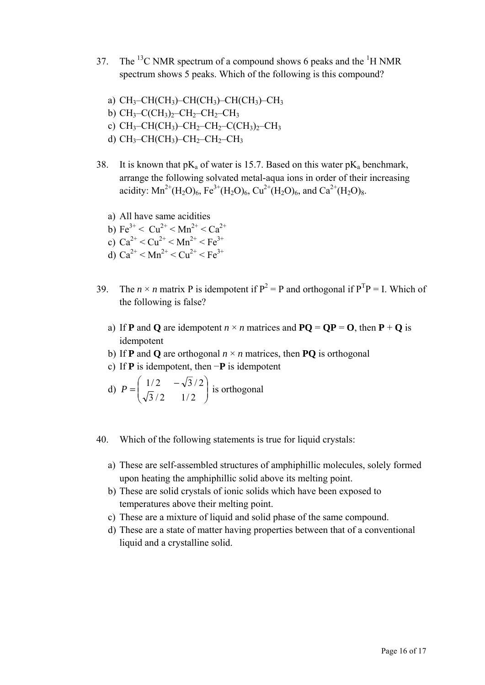- 37. The <sup>13</sup>C NMR spectrum of a compound shows 6 peaks and the <sup>1</sup>H NMR spectrum shows 5 peaks. Which of the following is this compound?
	- a)  $CH<sub>3</sub>-CH(CH<sub>3</sub>)-CH(CH<sub>3</sub>)-CH(CH<sub>3</sub>)-CH<sub>3</sub>$
	- b)  $CH_3-C(CH_3)_2-CH_2-CH_2-CH_3$
	- c)  $CH_3$ – $CH(CH_3)$ – $CH_2$ – $CH_2$ – $CH_3$ )<sub>2</sub>– $CH_3$
	- d)  $CH_3$ -CH(CH<sub>3</sub>)-CH<sub>2</sub>-CH<sub>2</sub>-CH<sub>3</sub>
- 38. It is known that  $pK_a$  of water is 15.7. Based on this water  $pK_a$  benchmark, arrange the following solvated metal-aqua ions in order of their increasing acidity:  $Mn^{2+}(H_2O)_6$ ,  $Fe^{3+}(H_2O)_6$ ,  $Cu^{2+}(H_2O)_6$ , and  $Ca^{2+}(H_2O)_8$ .
	- a) All have same acidities
	- b)  $Fe^{3+} < Cu^{2+} < Mn^{2+} < Ca^{2+}$
	- c)  $Ca^{2+} < Cu^{2+} < Mn^{2+} < Fe^{3+}$
	- d)  $Ca^{2+} < Mn^{2+} < Cu^{2+} < Fe^{3+}$
- 39. The  $n \times n$  matrix P is idempotent if  $P^2 = P$  and orthogonal if  $P^T P = I$ . Which of the following is false?
	- a) If **P** and **Q** are idempotent  $n \times n$  matrices and  $PQ = QP = Q$ , then  $P + Q$  is idempotent
	- b) If **P** and **Q** are orthogonal  $n \times n$  matrices, then **PQ** is orthogonal
	- c) If **P** is idempotent, then −**P** is idempotent

d) 
$$
P = \begin{pmatrix} 1/2 & -\sqrt{3}/2 \\ \sqrt{3}/2 & 1/2 \end{pmatrix}
$$
 is orthogonal

- 40. Which of the following statements is true for liquid crystals:
	- a) These are self-assembled structures of amphiphillic molecules, solely formed upon heating the amphiphillic solid above its melting point.
	- b) These are solid crystals of ionic solids which have been exposed to temperatures above their melting point.
	- c) These are a mixture of liquid and solid phase of the same compound.
	- d) These are a state of matter having properties between that of a conventional liquid and a crystalline solid.